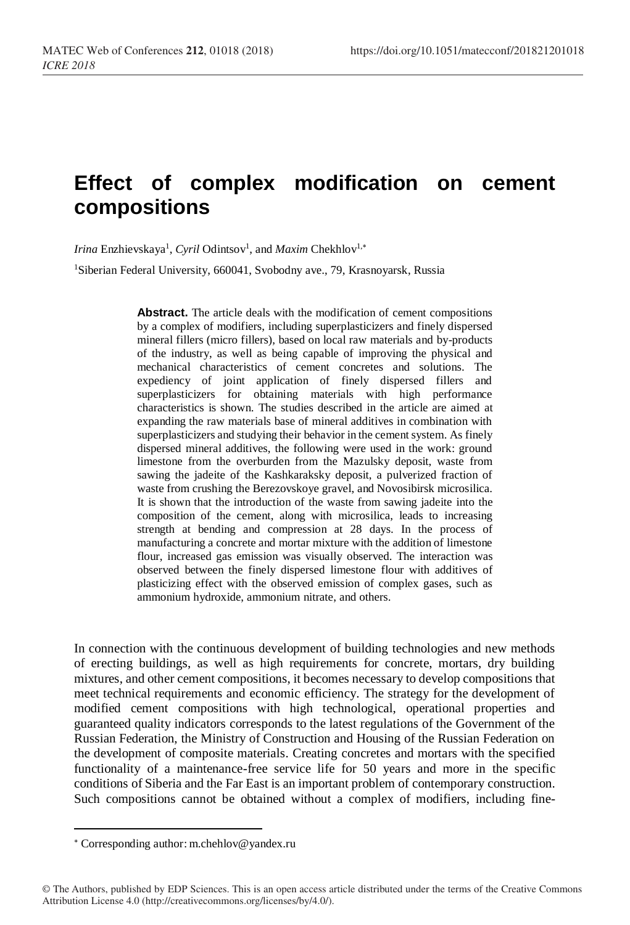## **Effect of complex modification on cement compositions**

Irina Enzhievskaya<sup>1</sup>, *Cyril* Odintsov<sup>1</sup>, and *Maxim* Chekhlov<sup>1,\*</sup>

<sup>1</sup>Siberian Federal University, 660041, Svobodny ave., 79, Krasnoyarsk, Russia

**Abstract.** The article deals with the modification of cement compositions by a complex of modifiers, including superplasticizers and finely dispersed mineral fillers (micro fillers), based on local raw materials and by-products of the industry, as well as being capable of improving the physical and mechanical characteristics of cement concretes and solutions. The expediency of joint application of finely dispersed fillers and superplasticizers for obtaining materials with high performance characteristics is shown. The studies described in the article are aimed at expanding the raw materials base of mineral additives in combination with superplasticizers and studying their behavior in the cement system. As finely dispersed mineral additives, the following were used in the work: ground limestone from the overburden from the Mazulsky deposit, waste from sawing the jadeite of the Kashkaraksky deposit, a pulverized fraction of waste from crushing the Berezovskoye gravel, and Novosibirsk microsilica. It is shown that the introduction of the waste from sawing jadeite into the composition of the cement, along with microsilica, leads to increasing strength at bending and compression at 28 days. In the process of manufacturing a concrete and mortar mixture with the addition of limestone flour, increased gas emission was visually observed. The interaction was observed between the finely dispersed limestone flour with additives of plasticizing effect with the observed emission of complex gases, such as ammonium hydroxide, ammonium nitrate, and others.

In connection with the continuous development of building technologies and new methods of erecting buildings, as well as high requirements for concrete, mortars, dry building mixtures, and other cement compositions, it becomes necessary to develop compositions that meet technical requirements and economic efficiency. The strategy for the development of modified cement compositions with high technological, operational properties and guaranteed quality indicators corresponds to the latest regulations of the Government of the Russian Federation, the Ministry of Construction and Housing of the Russian Federation on the development of composite materials. Creating concretes and mortars with the specified functionality of a maintenance-free service life for 50 years and more in the specific conditions of Siberia and the Far East is an important problem of contemporary construction. Such compositions cannot be obtained without a complex of modifiers, including fine-

l

Corresponding author: [m.chehlov@yandex.ru](mailto:m.chehlov@yandex.ru)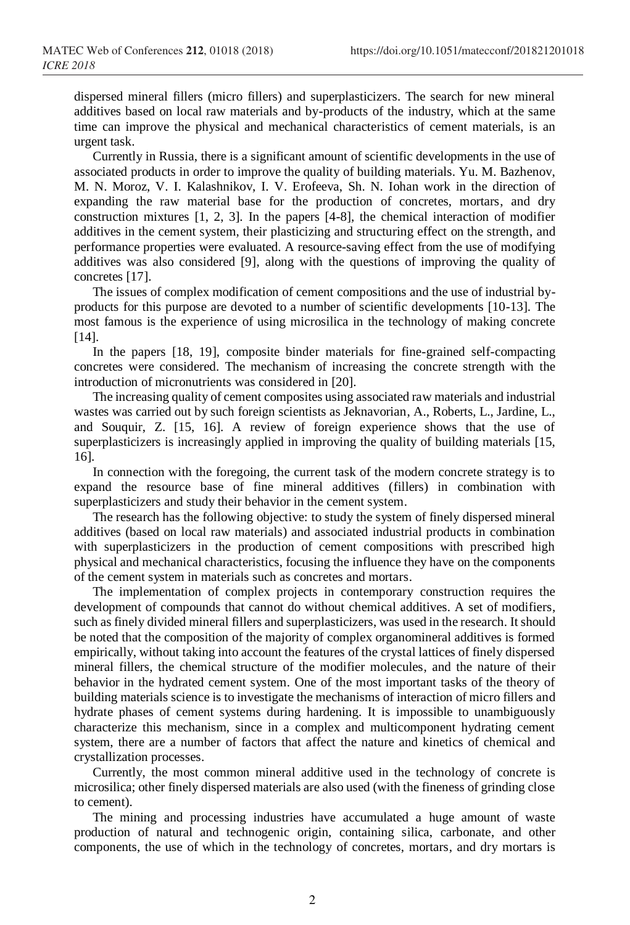dispersed mineral fillers (micro fillers) and superplasticizers. The search for new mineral additives based on local raw materials and by-products of the industry, which at the same time can improve the physical and mechanical characteristics of cement materials, is an urgent task.

Currently in Russia, there is a significant amount of scientific developments in the use of associated products in order to improve the quality of building materials. Yu. M. Bazhenov, M. N. Moroz, V. I. Kalashnikov, I. V. Erofeeva, Sh. N. Iohan work in the direction of expanding the raw material base for the production of concretes, mortars, and dry construction mixtures [1, 2, 3]. In the papers [4-8], the chemical interaction of modifier additives in the cement system, their plasticizing and structuring effect on the strength, and performance properties were evaluated. A resource-saving effect from the use of modifying additives was also considered [9], along with the questions of improving the quality of concretes [17].

The issues of complex modification of cement compositions and the use of industrial byproducts for this purpose are devoted to a number of scientific developments [10-13]. The most famous is the experience of using microsilica in the technology of making concrete [14].

In the papers [18, 19], composite binder materials for fine-grained self-compacting concretes were considered. The mechanism of increasing the concrete strength with the introduction of micronutrients was considered in [20].

The increasing quality of cement composites using associated raw materials and industrial wastes was carried out by such foreign scientists as Jeknavorian, A., Roberts, L., Jardine, L., and Souquir, Z. [15, 16]. A review of foreign experience shows that the use of superplasticizers is increasingly applied in improving the quality of building materials [15, 16].

In connection with the foregoing, the current task of the modern concrete strategy is to expand the resource base of fine mineral additives (fillers) in combination with superplasticizers and study their behavior in the cement system.

The research has the following objective: to study the system of finely dispersed mineral additives (based on local raw materials) and associated industrial products in combination with superplasticizers in the production of cement compositions with prescribed high physical and mechanical characteristics, focusing the influence they have on the components of the cement system in materials such as concretes and mortars.

The implementation of complex projects in contemporary construction requires the development of compounds that cannot do without chemical additives. A set of modifiers, such as finely divided mineral fillers and superplasticizers, was used in the research. It should be noted that the composition of the majority of complex organomineral additives is formed empirically, without taking into account the features of the crystal lattices of finely dispersed mineral fillers, the chemical structure of the modifier molecules, and the nature of their behavior in the hydrated cement system. One of the most important tasks of the theory of building materials science is to investigate the mechanisms of interaction of micro fillers and hydrate phases of cement systems during hardening. It is impossible to unambiguously characterize this mechanism, since in a complex and multicomponent hydrating cement system, there are a number of factors that affect the nature and kinetics of chemical and crystallization processes.

Currently, the most common mineral additive used in the technology of concrete is microsilica; other finely dispersed materials are also used (with the fineness of grinding close to cement).

The mining and processing industries have accumulated a huge amount of waste production of natural and technogenic origin, containing silica, carbonate, and other components, the use of which in the technology of concretes, mortars, and dry mortars is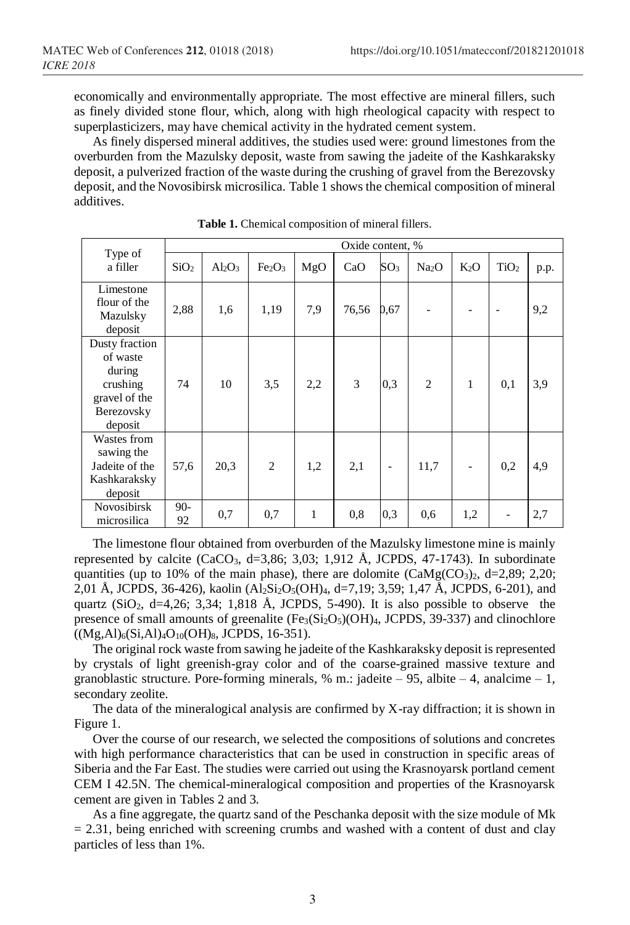economically and environmentally appropriate. The most effective are mineral fillers, such as finely divided stone flour, which, along with high rheological capacity with respect to superplasticizers, may have chemical activity in the hydrated cement system.

As finely dispersed mineral additives, the studies used were: ground limestones from the overburden from the Mazulsky deposit, waste from sawing the jadeite of the Kashkaraksky deposit, a pulverized fraction of the waste during the crushing of gravel from the Berezovsky deposit, and the Novosibirsk microsilica. Table 1 shows the chemical composition of mineral additives.

|                                                                                            | Oxide content, % |           |                                |     |       |                   |                   |        |                  |      |
|--------------------------------------------------------------------------------------------|------------------|-----------|--------------------------------|-----|-------|-------------------|-------------------|--------|------------------|------|
| Type of<br>a filler                                                                        | SiO <sub>2</sub> | $Al_2O_3$ | Fe <sub>2</sub> O <sub>3</sub> | MgO | CaO   | SO <sub>3</sub>   | Na <sub>2</sub> O | $K_2O$ | TiO <sub>2</sub> | p.p. |
| Limestone<br>flour of the<br>Mazulsky<br>deposit                                           | 2,88             | 1,6       | 1,19                           | 7,9 | 76,56 | 0,67              |                   |        |                  | 9,2  |
| Dusty fraction<br>of waste<br>during<br>crushing<br>gravel of the<br>Berezovsky<br>deposit | 74               | 10        | 3,5                            | 2,2 | 3     | 0.3               | $\overline{2}$    | 1      | 0,1              | 3,9  |
| Wastes from<br>sawing the<br>Jadeite of the<br>Kashkaraksky<br>deposit                     | 57,6             | 20,3      | $\overline{2}$                 | 1,2 | 2,1   | $\qquad \qquad -$ | 11,7              |        | 0,2              | 4,9  |
| Novosibirsk<br>microsilica                                                                 | $90-$<br>92      | 0,7       | 0,7                            | 1   | 0,8   | 0,3               | 0,6               | 1,2    |                  | 2,7  |

**Table 1.** Chemical composition of mineral fillers.

The limestone flour obtained from overburden of the Mazulsky limestone mine is mainly represented by calcite (CaCO<sub>3</sub>, d=3,86; 3,03; 1,912 Å, JCPDS, 47-1743). In subordinate quantities (up to 10% of the main phase), there are dolomite  $(CaMg(CO<sub>3</sub>)<sub>2</sub>$ , d=2,89; 2,20; 2,01 Å, JCPDS, 36-426), kaolin (Al2Si2O<sub>5</sub>(OH)<sub>4</sub>, d=7,19; 3,59; 1,47 Å, JCPDS, 6-201), and quartz  $(SiO<sub>2</sub>, d=4,26; 3,34; 1,818 \text{ Å}, JCPDS, 5-490)$ . It is also possible to observe the presence of small amounts of greenalite  $(F_{e3}(Si<sub>2</sub>O<sub>5</sub>)(OH)<sub>4</sub>$ , JCPDS, 39-337) and clinochlore  $((Mg, Al)_6(Si, Al)_4O_{10}(OH)_8$ , JCPDS, 16-351).

The original rock waste from sawing he jadeite of the Kashkaraksky deposit is represented by crystals of light greenish-gray color and of the coarse-grained massive texture and granoblastic structure. Pore-forming minerals, % m.: jadeite – 95, albite – 4, analcime – 1, secondary zeolite.

The data of the mineralogical analysis are confirmed by X-ray diffraction; it is shown in Figure 1.

Over the course of our research, we selected the compositions of solutions and concretes with high performance characteristics that can be used in construction in specific areas of Siberia and the Far East. The studies were carried out using the Krasnoyarsk portland cement CEM I 42.5N. The chemical-mineralogical composition and properties of the Krasnoyarsk cement are given in Tables 2 and 3.

As a fine aggregate, the quartz sand of the Peschanka deposit with the size module of Mk  $= 2.31$ , being enriched with screening crumbs and washed with a content of dust and clay particles of less than 1%.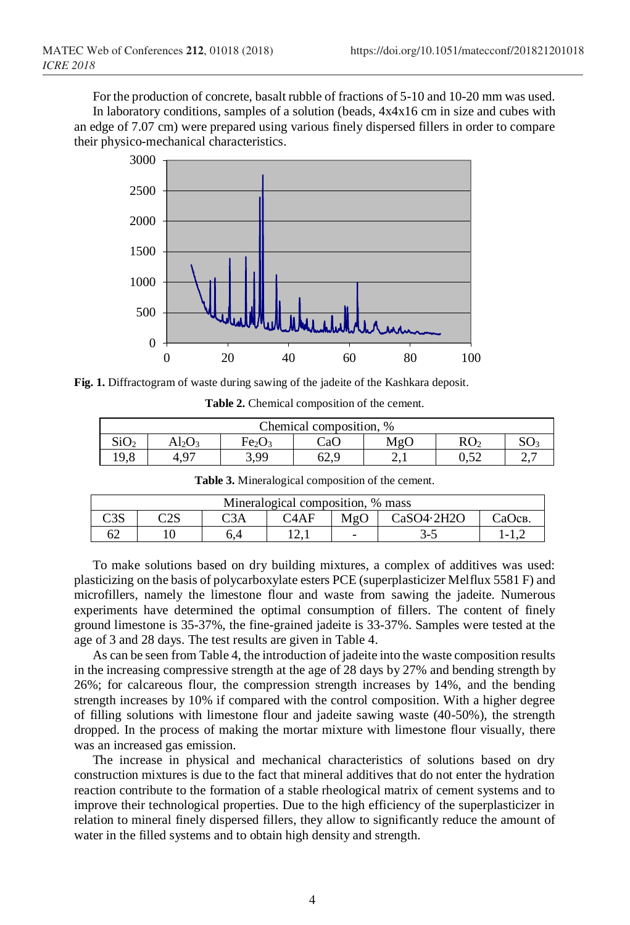For the production of concrete, basalt rubble of fractions of 5-10 and 10-20 mm was used. In laboratory conditions, samples of a solution (beads, 4x4x16 cm in size and cubes with an edge of 7.07 cm) were prepared using various finely dispersed fillers in order to compare their physico-mechanical characteristics.



**Fig. 1.** Diffractogram of waste during sawing of the jadeite of the Kashkara deposit.

| Chemical composition. % |       |                                |      |                |      |  |  |  |  |
|-------------------------|-------|--------------------------------|------|----------------|------|--|--|--|--|
| SiO <sub>2</sub>        | Al2O3 | Fe <sub>2</sub> O <sub>3</sub> | CaO  | MgC            |      |  |  |  |  |
| 19.8                    |       | 300                            | 62.S | $\overline{a}$ | ∪.J∠ |  |  |  |  |

| Mineralogical composition, % mass |                                                                                |  |        |   |    |  |  |  |  |
|-----------------------------------|--------------------------------------------------------------------------------|--|--------|---|----|--|--|--|--|
| ี∩วα                              | ∽^∼<br>C3A<br>CaSO4.2H2O<br>СаОсв.<br>$\mathcal{C}4\mathrm{AF}$<br>MgO<br>نناك |  |        |   |    |  |  |  |  |
| 62                                |                                                                                |  | ۔ دے ' | - | `- |  |  |  |  |

**Table 3.** Mineralogical composition of the cement.

To make solutions based on dry building mixtures, a complex of additives was used: plasticizing on the basis of polycarboxylate esters PCE (superplasticizer Melflux 5581 F) and microfillers, namely the limestone flour and waste from sawing the jadeite. Numerous experiments have determined the optimal consumption of fillers. The content of finely ground limestone is 35-37%, the fine-grained jadeite is 33-37%. Samples were tested at the age of 3 and 28 days. The test results are given in Table 4.

As can be seen from Table 4, the introduction of jadeite into the waste composition results in the increasing compressive strength at the age of 28 days by 27% and bending strength by 26%; for calcareous flour, the compression strength increases by 14%, and the bending strength increases by 10% if compared with the control composition. With a higher degree of filling solutions with limestone flour and jadeite sawing waste (40-50%), the strength dropped. In the process of making the mortar mixture with limestone flour visually, there was an increased gas emission.

The increase in physical and mechanical characteristics of solutions based on dry construction mixtures is due to the fact that mineral additives that do not enter the hydration reaction contribute to the formation of a stable rheological matrix of cement systems and to improve their technological properties. Due to the high efficiency of the superplasticizer in relation to mineral finely dispersed fillers, they allow to significantly reduce the amount of water in the filled systems and to obtain high density and strength.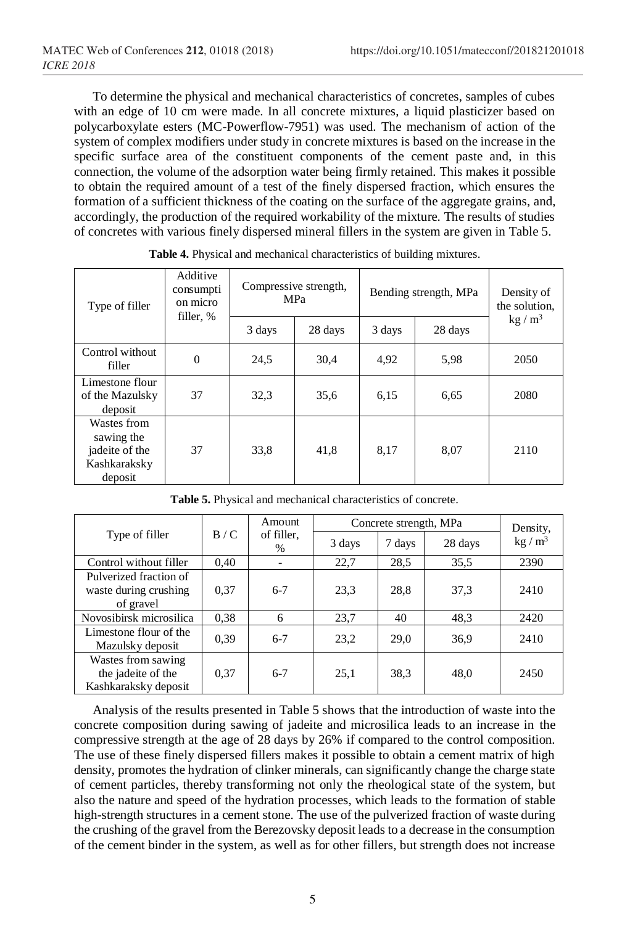To determine the physical and mechanical characteristics of concretes, samples of cubes with an edge of 10 cm were made. In all concrete mixtures, a liquid plasticizer based on polycarboxylate esters (MC-Powerflow-7951) was used. The mechanism of action of the system of complex modifiers under study in concrete mixtures is based on the increase in the specific surface area of the constituent components of the cement paste and, in this connection, the volume of the adsorption water being firmly retained. This makes it possible to obtain the required amount of a test of the finely dispersed fraction, which ensures the formation of a sufficient thickness of the coating on the surface of the aggregate grains, and, accordingly, the production of the required workability of the mixture. The results of studies of concretes with various finely dispersed mineral fillers in the system are given in Table 5.

| Type of filler                                                         | Additive<br>consumpti<br>on micro<br>filler, % | Compressive strength, | <b>MPa</b> | Bending strength, MPa | Density of<br>the solution, |                   |
|------------------------------------------------------------------------|------------------------------------------------|-----------------------|------------|-----------------------|-----------------------------|-------------------|
|                                                                        |                                                | 3 days                | 28 days    | 3 days                | 28 days                     | kg/m <sup>3</sup> |
| Control without<br>filler                                              | $\Omega$                                       | 24,5                  | 30,4       | 4,92                  | 5.98                        | 2050              |
| Limestone flour<br>of the Mazulsky<br>deposit                          | 37                                             | 32,3                  | 35,6       | 6,15                  | 6,65                        | 2080              |
| Wastes from<br>sawing the<br>jadeite of the<br>Kashkaraksky<br>deposit | 37                                             | 33,8                  | 41,8       | 8,17                  | 8,07                        | 2110              |

**Table 4.** Physical and mechanical characteristics of building mixtures.

|                                                                  |      | Amount<br>of filler,<br>$\%$ | Concrete strength, MPa | Density, |         |          |
|------------------------------------------------------------------|------|------------------------------|------------------------|----------|---------|----------|
| Type of filler                                                   | B/C  |                              | 3 days                 | 7 days   | 28 days | $kg/m^3$ |
| Control without filler                                           | 0.40 |                              | 22,7                   | 28.5     | 35,5    | 2390     |
| Pulverized fraction of                                           |      |                              |                        |          |         |          |
| waste during crushing<br>of gravel                               | 0,37 | $6 - 7$                      | 23,3                   | 28,8     | 37,3    | 2410     |
| Novosibirsk microsilica                                          | 0.38 | 6                            | 23,7                   | 40       | 48,3    | 2420     |
| Limestone flour of the<br>Mazulsky deposit                       | 0.39 | $6 - 7$                      | 23,2                   | 29,0     | 36,9    | 2410     |
| Wastes from sawing<br>the jadeite of the<br>Kashkaraksky deposit | 0,37 | $6 - 7$                      | 25,1                   | 38,3     | 48,0    | 2450     |

**Table 5.** Physical and mechanical characteristics of concrete.

Analysis of the results presented in Table 5 shows that the introduction of waste into the concrete composition during sawing of jadeite and microsilica leads to an increase in the compressive strength at the age of 28 days by 26% if compared to the control composition. The use of these finely dispersed fillers makes it possible to obtain a cement matrix of high density, promotes the hydration of clinker minerals, can significantly change the charge state of cement particles, thereby transforming not only the rheological state of the system, but also the nature and speed of the hydration processes, which leads to the formation of stable high-strength structures in a cement stone. The use of the pulverized fraction of waste during the crushing of the gravel from the Berezovsky deposit leads to a decrease in the consumption of the cement binder in the system, as well as for other fillers, but strength does not increase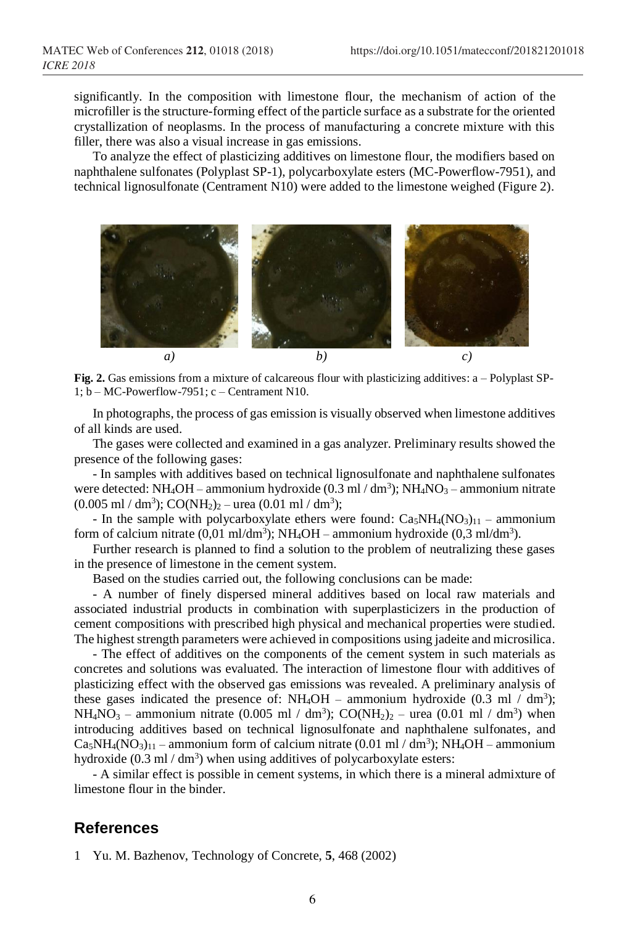significantly. In the composition with limestone flour, the mechanism of action of the microfiller is the structure-forming effect of the particle surface as a substrate for the oriented crystallization of neoplasms. In the process of manufacturing a concrete mixture with this filler, there was also a visual increase in gas emissions.

To analyze the effect of plasticizing additives on limestone flour, the modifiers based on naphthalene sulfonates (Polyplast SP-1), polycarboxylate esters (MC-Powerflow-7951), and technical lignosulfonate (Centrament N10) were added to the limestone weighed (Figure 2).



**Fig. 2.** Gas emissions from a mixture of calcareous flour with plasticizing additives: a – Polyplast SP-1; b – MC-Powerflow-7951; c – Centrament N10.

In photographs, the process of gas emission is visually observed when limestone additives of all kinds are used.

The gases were collected and examined in a gas analyzer. Preliminary results showed the presence of the following gases:

- In samples with additives based on technical lignosulfonate and naphthalene sulfonates were detected: NH<sub>4</sub>OH – ammonium hydroxide  $(0.3 \text{ ml} / \text{ dm}^3)$ ; NH<sub>4</sub>NO<sub>3</sub> – ammonium nitrate  $(0.005 \text{ ml} / \text{ dm}^3)$ ; CO(NH<sub>2</sub>)<sub>2</sub> – urea  $(0.01 \text{ ml} / \text{ dm}^3)$ ;

- In the sample with polycarboxylate ethers were found:  $Ca<sub>5</sub>NH<sub>4</sub>(NO<sub>3</sub>)<sub>11</sub>$  – ammonium form of calcium nitrate  $(0,01 \text{ ml/dm}^3)$ ; NH<sub>4</sub>OH – ammonium hydroxide  $(0,3 \text{ ml/dm}^3)$ .

Further research is planned to find a solution to the problem of neutralizing these gases in the presence of limestone in the cement system.

Based on the studies carried out, the following conclusions can be made:

- A number of finely dispersed mineral additives based on local raw materials and associated industrial products in combination with superplasticizers in the production of cement compositions with prescribed high physical and mechanical properties were studied. The highest strength parameters were achieved in compositions using jadeite and microsilica.

- The effect of additives on the components of the cement system in such materials as concretes and solutions was evaluated. The interaction of limestone flour with additives of plasticizing effect with the observed gas emissions was revealed. A preliminary analysis of these gases indicated the presence of:  $NH_4OH -$  ammonium hydroxide (0.3 ml / dm<sup>3</sup>); NH<sub>4</sub>NO<sub>3</sub> – ammonium nitrate (0.005 ml / dm<sup>3</sup>); CO(NH<sub>2</sub>)<sub>2</sub> – urea (0.01 ml / dm<sup>3</sup>) when introducing additives based on technical lignosulfonate and naphthalene sulfonates, and  $Ca<sub>5</sub>NH<sub>4</sub>(NO<sub>3</sub>)<sub>11</sub>$  – ammonium form of calcium nitrate (0.01 ml / dm<sup>3</sup>); NH<sub>4</sub>OH – ammonium hydroxide  $(0.3 \text{ ml} / \text{dm}^3)$  when using additives of polycarboxylate esters:

- A similar effect is possible in cement systems, in which there is a mineral admixture of limestone flour in the binder.

## **References**

1 Yu. M. Bazhenov, Technology of Concrete, **5**, 468 (2002)